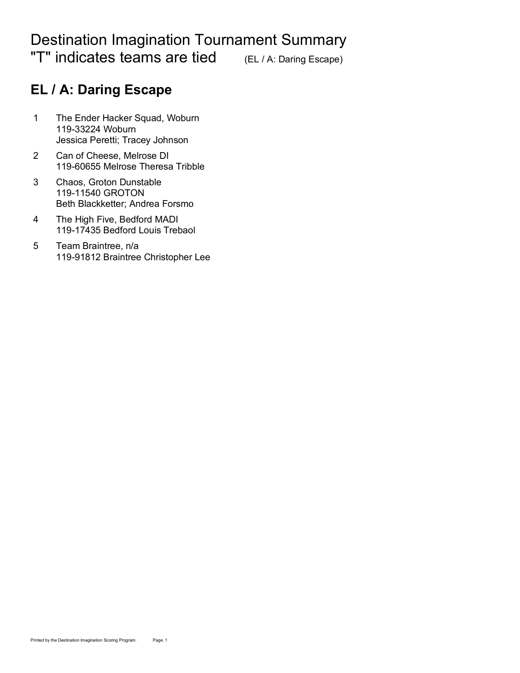# Destination Imagination Tournament Summary "T" indicates teams are tied (EL / A: Daring Escape)

# **EL / A: Daring Escape**

- 1 The Ender Hacker Squad, Woburn 119-33224 Woburn Jessica Peretti; Tracey Johnson
- 2 Can of Cheese, Melrose DI 119-60655 Melrose Theresa Tribble
- 3 Chaos, Groton Dunstable 119-11540 GROTON Beth Blackketter; Andrea Forsmo.
- 4 The High Five, Bedford MADI 119-17435 Bedford Louis Trebaol
- 5 Team Braintree, n/a 119-91812 Braintree Christopher Lee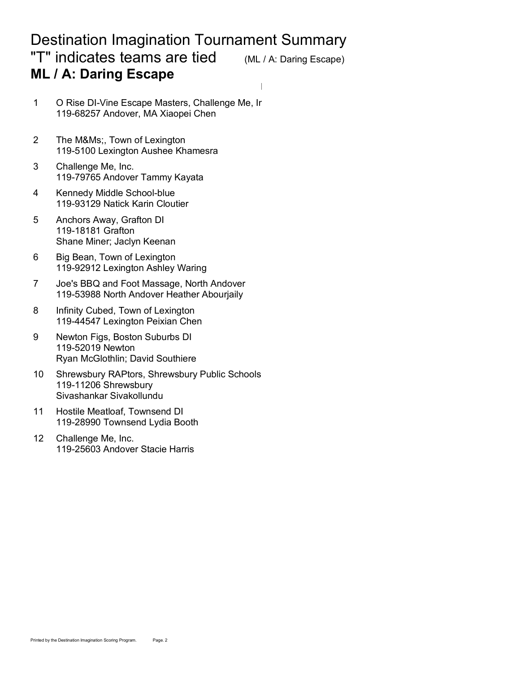#### Destination Imagination Tournament Summary "T" indicates teams are tied (ML / A: Daring Escape) **ML / A: Daring Escape**

Deduct RwDevsRwHzrds RwStory Rw.TCE RwInst

- 1 O Rise DI-Vine Escape Masters, Challenge Me, Ir 119-68257 Andover, MA Xiaopei Chen
- 2 The M&Ms;, Town of Lexington 119-5100 Lexington Aushee Khamesra
- 3 Challenge Me, Inc. 119-79765 Andover Tammy Kayata
- 4 Kennedy Middle School-blue 119-93129 Natick Karin Cloutier
- 5 Anchors Away, Grafton DI 119-18181 Grafton Shane Miner; Jaclyn Keenan
- 6 Big Bean, Town of Lexington 119-92912 Lexington Ashley Waring
- 7 Joe's BBQ and Foot Massage, North Andover 119-53988 North Andover Heather Abourjaily
- 8 Infinity Cubed, Town of Lexington 119-44547 Lexington Peixian Chen
- 9 Newton Figs, Boston Suburbs DI 119-52019 Newton Ryan McGlothlin; David Southiere
- 10 Shrewsbury RAPtors, Shrewsbury Public Schools 119-11206 Shrewsbury Sivashankar Sivakollundu
- 11 Hostile Meatloaf, Townsend DI 119-28990 Townsend Lydia Booth
- 12 Challenge Me, Inc. 119-25603 Andover Stacie Harris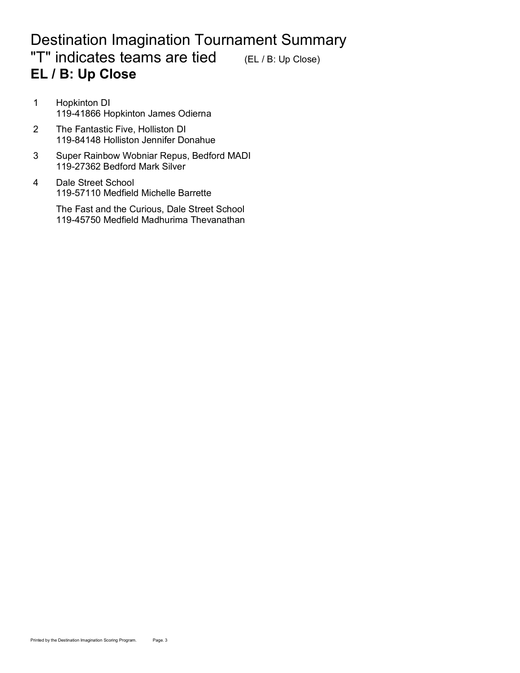# Destination Imagination Tournament Summary "T" indicates teams are tied  $(EL / B: Up Close)$ **EL / B: Up Close**

- 1 Hopkinton DI 119-41866 Hopkinton James Odierna
- 2 The Fantastic Five, Holliston DI 119-84148 Holliston Jennifer Donahue
- 3 Super Rainbow Wobniar Repus, Bedford MADI 119-27362 Bedford Mark Silver
- 4 Dale Street School 119-57110 Medfield Michelle Barrette

The Fast and the Curious, Dale Street School 119-45750 Medfield Madhurima Thevanathan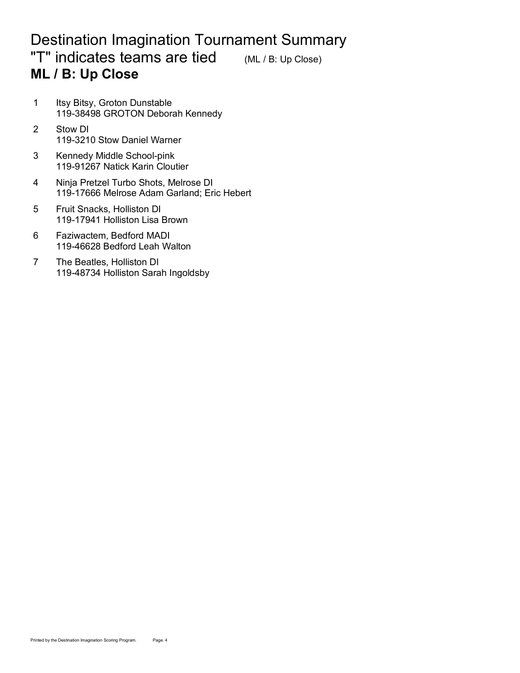# Destination Imagination Tournament Summary "T" indicates teams are tied  $(ML/B: Up Close)$ **ML / B: Up Close**

- 1 Itsy Bitsy, Groton Dunstable 119-38498 GROTON Deborah Kennedy
- 2 Stow DI 119-3210 Stow Daniel Warner
- 3 Kennedy Middle School-pink 119-91267 Natick Karin Cloutier
- 4 Ninja Pretzel Turbo Shots, Melrose DI 119-17666 Melrose Adam Garland; Eric Hebert
- 5 Fruit Snacks, Holliston DI 119-17941 Holliston Lisa Brown
- 6 Faziwactem, Bedford MADI 119-46628 Bedford Leah Walton
- 7 The Beatles, Holliston DI 119-48734 Holliston Sarah Ingoldsby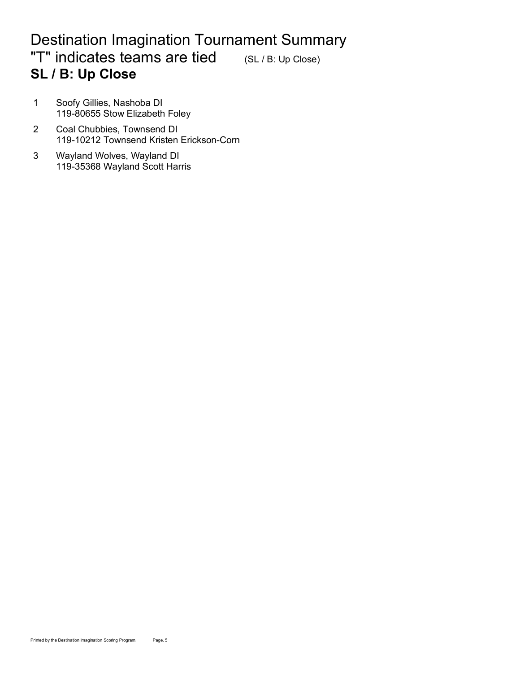# Destination Imagination Tournament Summary "T" indicates teams are tied (SL / B: Up Close) **SL / B: Up Close**

- 1 Soofy Gillies, Nashoba DI 119-80655 Stow Elizabeth Foley
- 2 Coal Chubbies, Townsend DI 119-10212 Townsend Kristen Erickson-Corn
- 3 Wayland Wolves, Wayland DI 119-35368 Wayland Scott Harris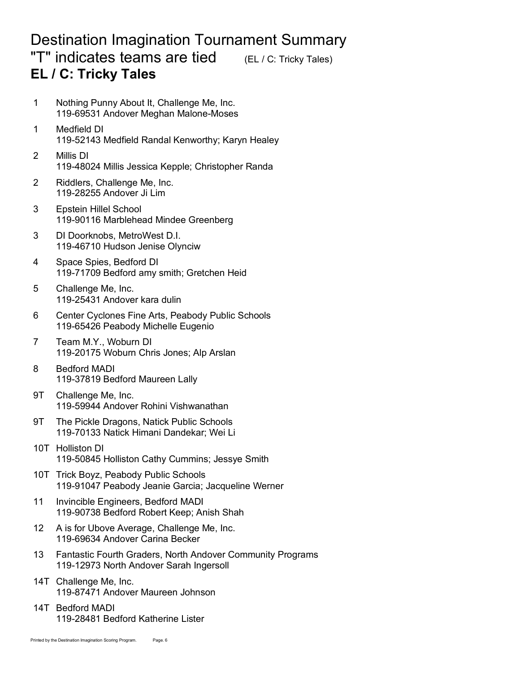#### Destination Imagination Tournament Summary "T" indicates teams are tied (EL / C: Tricky Tales) **EL / C: Tricky Tales**

- 1 Nothing Punny About It, Challenge Me, Inc. 119-69531 Andover Meghan Malone-Moses
- 1 Medfield DI 370.86 212.32 58.54 100.00 119-52143 Medfield Randal Kenworthy; Karyn Healey
- 2 Millis DI 119-48024 Millis Jessica Kepple; Christopher Randa
- 2 Riddlers, Challenge Me, Inc. 119-28255 Andover Ji Lim 0.00 121.22 25.44 67.13
- 3 Epstein Hillel School 119-90116 Marblehead Mindee Greenberg
- 3 DI Doorknobs, MetroWest D.I. 119-46710 Hudson Jenise Olynciw
- 4 Space Spies, Bedford DI 119-71709 Bedford amy smith; Gretchen Heid
- 5 Challenge Me, Inc. 119-25431 Andover kara dulin
- 6 Center Cyclones Fine Arts, Peabody Public Schools 119-65426 Peabody Michelle Eugenio
- 7 Team M.Y., Woburn DI 119-20175 Woburn Chris Jones; Alp Arslan
- 8 Bedford MADI 119-37819 Bedford Maureen Lally
- 9T Challenge Me, Inc. 119-59944 Andover Rohini Vishwanathan
- 9T The Pickle Dragons, Natick Public Schools 119-70133 Natick Himani Dandekar; Wei Li
- 10T Holliston DI 119-50845 Holliston Cathy Cummins; Jessye Smith
- 10T Trick Boyz, Peabody Public Schools 119-91047 Peabody Jeanie Garcia; Jacqueline Werner
- 11 Invincible Engineers, Bedford MADI 119-90738 Bedford Robert Keep; Anish Shah
- 12 A is for Ubove Average, Challenge Me, Inc. 119-69634 Andover Carina Becker
- 13 Fantastic Fourth Graders, North Andover Community Programs 119-12973 North Andover Sarah Ingersoll
- 14T Challenge Me, Inc. 119-87471 Andover Maureen Johnson
- 14T Bedford MADI 119-28481 Bedford Katherine Lister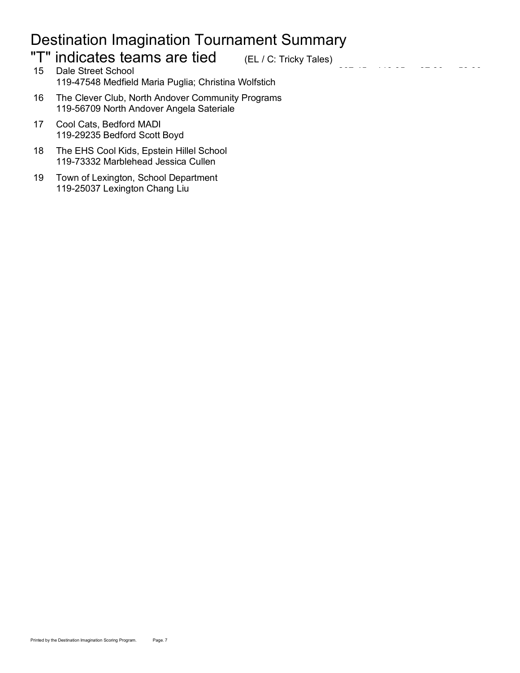# Destination Imagination Tournament Summary

# "T" indicates teams are tied (EL / C: Tricky Tales)

- 15 Dale Street School 119-47548 Medfield Maria Puglia; Christina Wolfstich
- 16 The Clever Club, North Andover Community Programs 119-56709 North Andover Angela Sateriale
- 17 Cool Cats, Bedford MADI 119-29235 Bedford Scott Boyd
- 18 The EHS Cool Kids, Epstein Hillel School 119-73332 Marblehead Jessica Cullen
- 19 Town of Lexington, School Department 119-25037 Lexington Chang Liu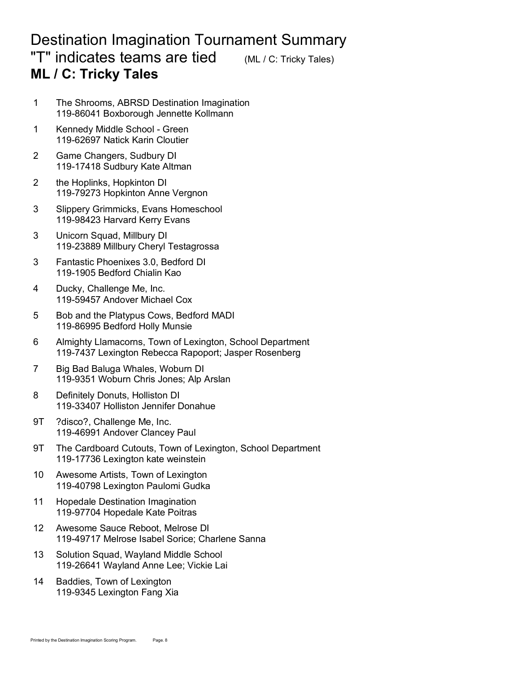#### Destination Imagination Tournament Summary **"T" indicates teams are tied** (ML / C: Tricky Tales) **ML / C: Tricky Tales**

- 1 The Shrooms, ABRSD Destination Imagination 119-86041 Boxborough Jennette Kollmann
- 1 Kennedy Middle School Green 119-62697 Natick Karin Cloutier
- 2 Game Changers, Sudbury DI 119-17418 Sudbury Kate Altman
- 2 the Hoplinks, Hopkinton DI 119-79273 Hopkinton Anne Vergnon
- 3 Slippery Grimmicks, Evans Homeschool 119-98423 Harvard Kerry Evans
- 3 Unicorn Squad, Millbury DI 119-23889 Millbury Cheryl Testagrossa
- 3 Fantastic Phoenixes 3.0, Bedford DI 119-1905 Bedford Chialin Kao.
- 4 Ducky, Challenge Me, Inc. 119-59457 Andover Michael Cox.
- 5 Bob and the Platypus Cows, Bedford MADI 119-86995 Bedford Holly Munsie
- 6 Almighty Llamacorns, Town of Lexington, School Department 119-7437 Lexington Rebecca Rapoport; Jasper Rosenberg
- 7 Big Bad Baluga Whales, Woburn DI 119-9351 Woburn Chris Jones; Alp Arslan
- 8 Definitely Donuts, Holliston DI 119-33407 Holliston Jennifer Donahue
- 9T ?disco?, Challenge Me, Inc. 119-46991 Andover Clancey Paul
- 9T The Cardboard Cutouts, Town of Lexington, School Department 119-17736 Lexington kate weinstein
- 10 Awesome Artists, Town of Lexington 119-40798 Lexington Paulomi Gudka
- 11 Hopedale Destination Imagination 119-97704 Hopedale Kate Poitras
- 12 Awesome Sauce Reboot, Melrose DI 119-49717 Melrose Isabel Sorice: Charlene Sanna
- 13 Solution Squad, Wayland Middle School 119-26641 Wayland Anne Lee; Vickie Lai
- 14 Baddies, Town of Lexington 119-9345 Lexington Fang Xia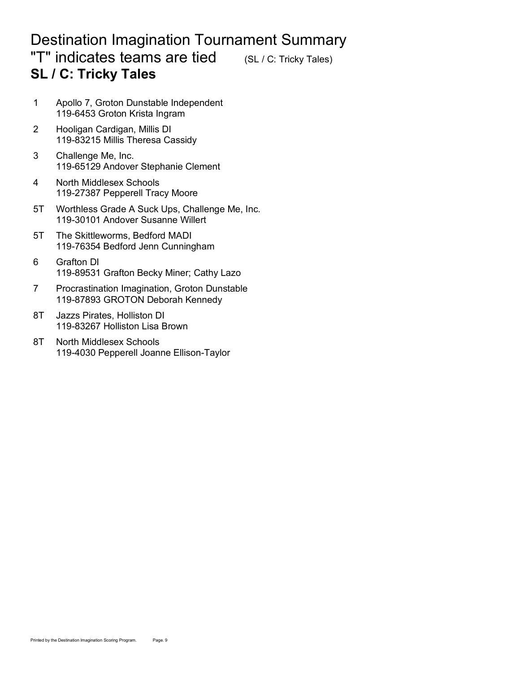#### Destination Imagination Tournament Summary **"T" indicates teams are tied** (SL / C: Tricky Tales) **SL / C: Tricky Tales**

- 1 Apollo 7, Groton Dunstable Independent 119-6453 Groton Krista Ingram
- 2 Hooligan Cardigan, Millis DI 119-83215 Millis Theresa Cassidy
- 3 Challenge Me, Inc. 119-65129 Andover Stephanie Clement
- 4 North Middlesex Schools 119-27387 Pepperell Tracy Moore
- 5T Worthless Grade A Suck Ups, Challenge Me, Inc. 119-30101 Andover Susanne Willert
- 5T The Skittleworms, Bedford MADI 119-76354 Bedford Jenn Cunningham
- 6 Grafton DI 268.11 123.72 46.65 97.74 46.65 97.74 46.72 46.72 46.74 46.74 46.74 47.74 47.74 47.74 47.74 47.74 119-89531 Grafton Becky Miner; Cathy Lazo
- 7 Procrastination Imagination, Groton Dunstable 119-87893 GROTON Deborah Kennedy
- 8T Jazzs Pirates, Holliston DI 119-83267 Holliston Lisa Brown
- 8T North Middlesex Schools 119-4030 Pepperell Joanne Ellison-Taylor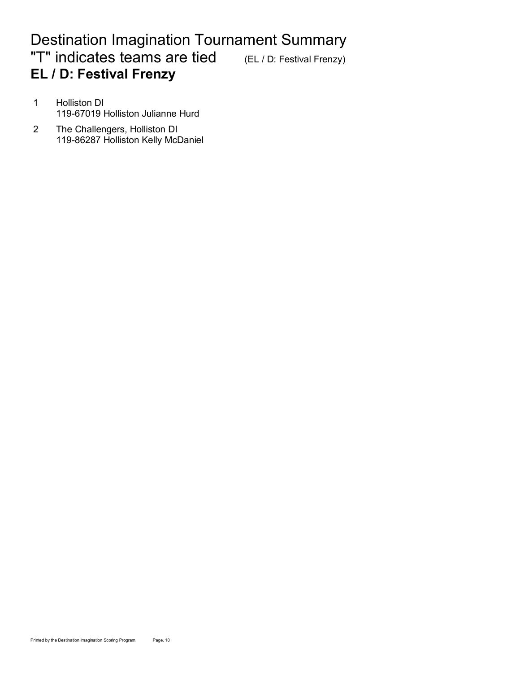# Destination Imagination Tournament Summary "T" indicates teams are tied (EL / D: Festival Frenzy) **EL / D: Festival Frenzy**

- 1 Holliston DI 400.000 300.000 300.000 300.000 300.000 300.000 300.000 300.000 300.000 300.000 300.000 300.000 119-67019 Holliston Julianne Hurd
- 2 The Challengers, Holliston DI 119-86287 Holliston Kelly McDaniel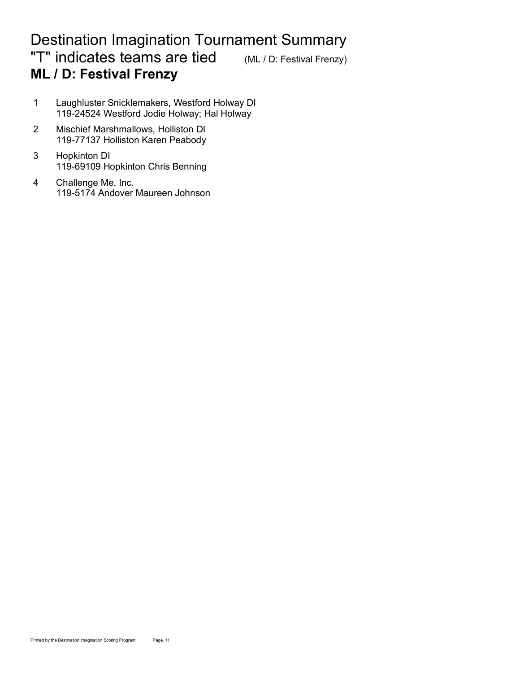# Destination Imagination Tournament Summary "T" indicates teams are tied (ML / D: Festival Frenzy) **ML / D: Festival Frenzy**

- 1 Laughluster Snicklemakers, Westford Holway DI 119-24524 Westford Jodie Holway; Hal Holway
- 2 Mischief Marshmallows, Holliston DI 119-77137 Holliston Karen Peabody
- 3 Hopkinton DI 119-69109 Hopkinton Chris Benning
- 4 Challenge Me, Inc. 119-5174 Andover Maureen Johnson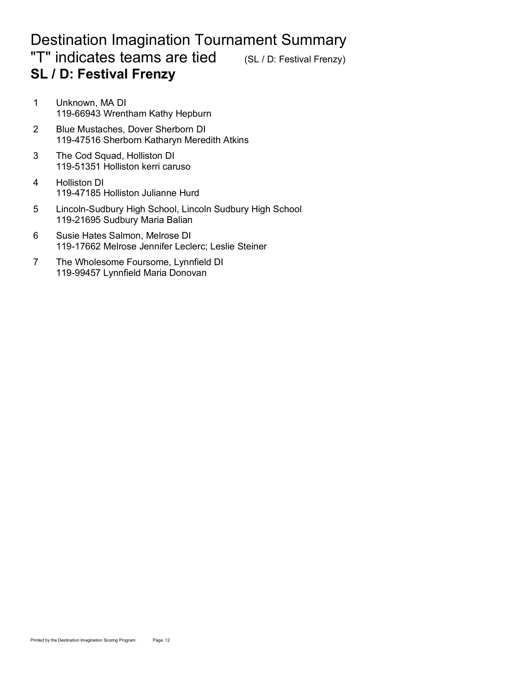### Destination Imagination Tournament Summary "T" indicates teams are tied (SL / D: Festival Frenzy) **SL / D: Festival Frenzy**

- 1 Unknown, MA DI 119-66943 Wrentham Kathy Hepburn
- 2 Blue Mustaches, Dover Sherborn DI 119-47516 Sherborn Katharyn Meredith Atkins
- 3 The Cod Squad, Holliston DI 119-51351 Holliston kerri caruso
- 4 Holliston DI 119-47185 Holliston Julianne Hurd
- 5 Lincoln-Sudbury High School, Lincoln Sudbury High School 119-21695 Sudbury Maria Balian
- 6 Susie Hates Salmon, Melrose DI 119-17662 Melrose Jennifer Leclerc; Leslie Steiner
- 7 The Wholesome Foursome, Lynnfield DI 119-99457 Lynnfield Maria Donovan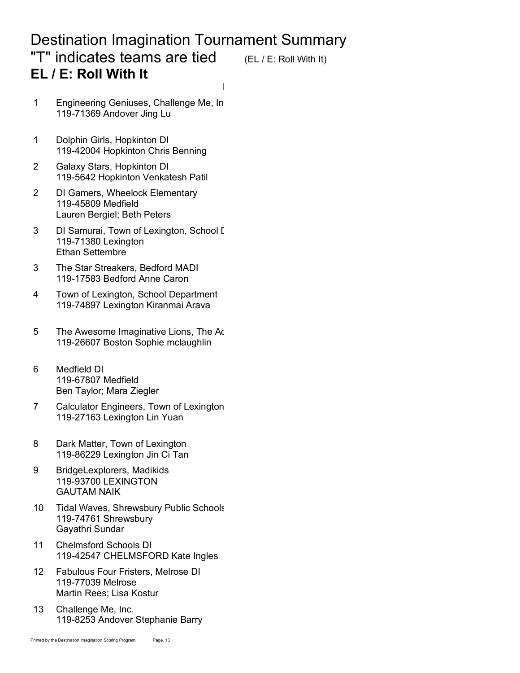#### Destination Imagination Tournament Summary "T" indicates teams are tied  $(EL / E: R$ oll With It) **EL / E: Roll With It**

Deduct RwWHRRwBonusRwStoryRwObject RwTCE RwInst

- 1 Engineering Geniuses, Challenge Me, In 119-71369 Andover Jing Lu
- 1 Dolphin Girls, Hopkinton DI 119-42004 Hopkinton Chris Benning
- 2 Galaxy Stars, Hopkinton DI 119-5642 Hopkinton Venkatesh Patil
- 2 DI Gamers, Wheelock Elementary 119-45809 Medfield Lauren Bergiel; Beth Peters
- 3 DI Samurai, Town of Lexington, School D 119-71380 Lexington Ethan Settembre
- 3 The Star Streakers, Bedford MADI 119-17583 Bedford Anne Caron
- 4 Town of Lexington, School Department 119-74897 Lexington Kiranmai Arava
- 5 The Awesome Imaginative Lions, The Ad 119-26607 Boston Sophie mclaughlin
- 6 Medfield DI 119-67807 Medfield Ben Taylor; Mara Ziegler
- 7 Calculator Engineers, Town of Lexington 119-27163 Lexington Lin Yuan
- 8 Dark Matter, Town of Lexington 119-86229 Lexington Jin Ci Tan
- 9 BridgeLexplorers, Madikids 119-93700 LEXINGTON **GAUTAM NAIK**
- 10 Tidal Waves, Shrewsbury Public Schools 119-74761 Shrewsbury Gayathri Sundar
- 11 Chelmsford Schools DI 119-42547 CHELMSFORD Kate Ingles
- 12 Fabulous Four Fristers, Melrose DI 119-77039 Melrose Martin Rees; Lisa Kostur
- 13 Challenge Me, Inc. 119-8253 Andover Stephanie Barry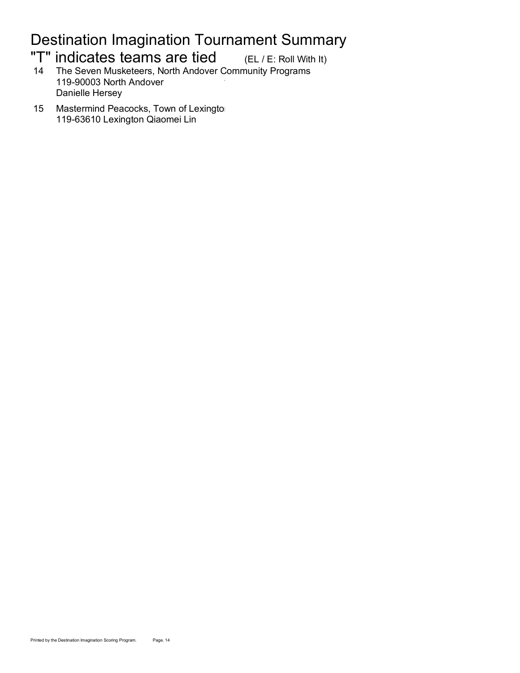# Destination Imagination Tournament Summary

# "T" indicates teams are tied (EL / E: Roll With It)

14 The Seven Musketeers, North Andover Community Programs 119-90003 North Andover Danielle Hersey

15 Mastermind Peacocks, Town of Lexington 119-63610 Lexington Qiaomei Lin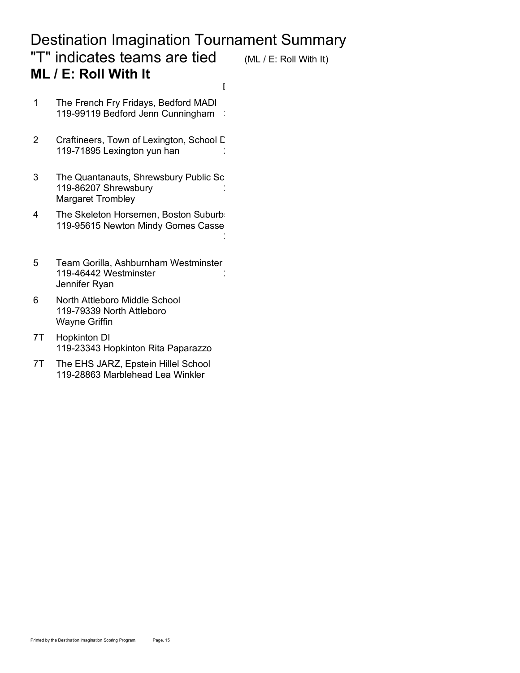# Destination Imagination Tournament Summary "T" indicates teams are tied (ML / E: Roll With It) **ML / E: Roll With It**

Deduct RwWHRRwBonusRwStoryRwObject RwTCE RwInst

23.63<br>232.633.431 4.000 25.31 4.000 25.31 4.000 35.31 4.000 35.31 4.000 35.31 4.000 35.31 4.000 35.31 4.000 35.31 4

- 1 The French Fry Fridays, Bedford MADI 119-99119 Bedford Jenn Cunningham
- 2 Craftineers, Town of Lexington, School D 119-71895 Lexington yun han
- 3 The Quantanauts, Shrewsbury Public Sc 119-86207 Shrewsbury Margaret Trombley
- 4 The Skeleton Horsemen, Boston Suburbs 119-95615 Newton Mindy Gomes Casse
- 5 Team Gorilla, Ashburnham Westminster 119-46442 Westminster Jennifer Ryan
- 6 North Attleboro Middle School 119-79339 North Attleboro Wayne Griffin
- 7T Hopkinton DI 119-23343 Hopkinton Rita Paparazzo
- 7T The EHS JARZ, Epstein Hillel School 119-28863 Marblehead Lea Winkler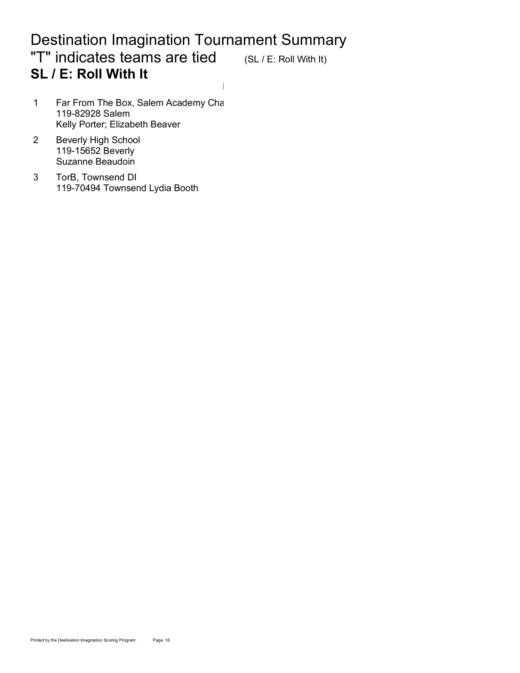#### Destination Imagination Tournament Summary "T" indicates teams are tied (SL / E: Roll With It) **SL / E: Roll With It** Deduct RwWHRRwBonusRwStoryRwObject RwTCE RwInst

- 1 Far From The Box, Salem Academy Cha 119-82928 Salem Kelly Porter; Elizabeth Beaver
- 2 Beverly High School 119-15652 Beverly Suzanne Beaudoin
- 3 TorB, Townsend DI 119-70494 Townsend Lydia Booth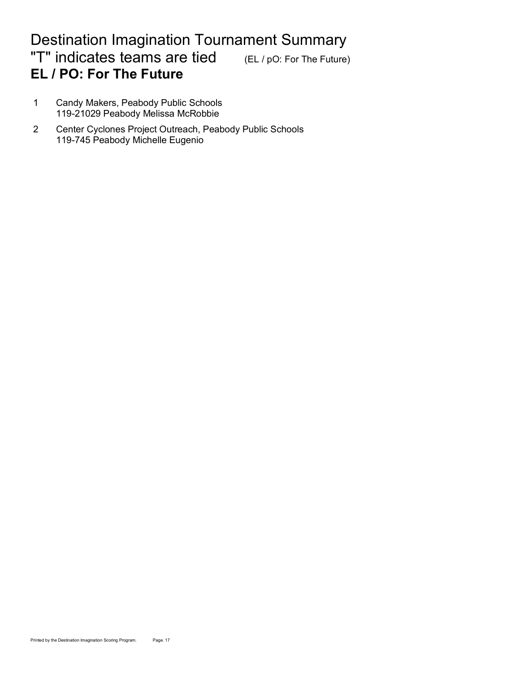# Destination Imagination Tournament Summary "T" indicates teams are tied (EL / pO: For The Future) **EL / PO: For The Future**

- 1 Candy Makers, Peabody Public Schools 119-21029 Peabody Melissa McRobbie
- 2 Center Cyclones Project Outreach, Peabody Public Schools 119-745 Peabody Michelle Eugenio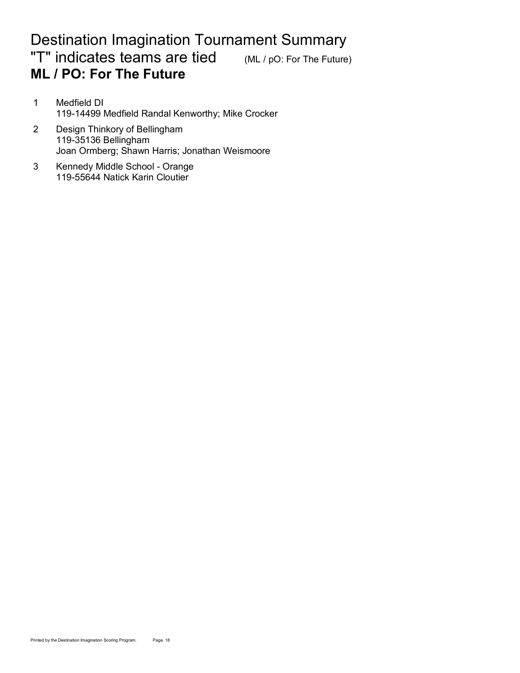#### Destination Imagination Tournament Summary "T" indicates teams are tied (ML / pO: For The Future) **ML / PO: For The Future**

- 1 Medfield DI 378.66 218.66 218.66 218.66 218.66 218.66 218.66 218.66 218.66 218.66 218.66 218.66 218.66 218.6 119-14499 Medfield Randal Kenworthy; Mike Crocker
- 2 Design Thinkory of Bellingham 119-35136 Bellingham Joan Ormberg; Shawn Harris; Jonathan Weismoore
- 3 Kennedy Middle School Orange 119-55644 Natick Karin Cloutier